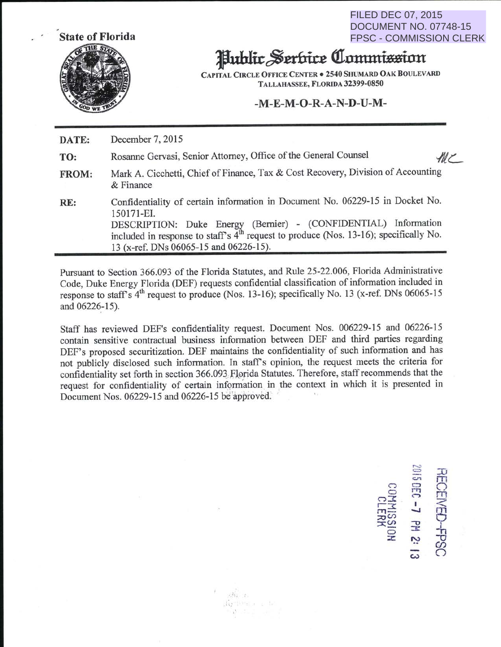FILED DEC 07, 2015 DOCUMENT NO. 07748-15 FPSC - COMMISSION CLERK



## Public Serbice Commission

CAPITAL CIRCLE OFFICE CENTER . 2540 SHUMARD OAK BOULEVARD TALLAHASSEE, FLORIDA 32399-0850

## **-M-E-M-0-R-A-N-D-U-M-**

**DATE:**  December 7, 2015

TO: Rosanne Gervasi, Senior Attorney, Office of the General Counsel

 $MC$ 

- **FROM:**  Mark A. Cicchetti, Chief of Finance, Tax & Cost Recovery, Division of Accounting & Finance
- RE: Confidentiality of certain information in Document No. 06229-15 in Docket No. 150171-EI. DESCRIPTION: Duke Energy (Bernier) - (CONFIDENTIAL) Information included in response to staff's  $4<sup>th</sup>$  request to produce (Nos. 13-16); specifically No. 13 (x-ref. DNs 06065-15 and 06226-15).

Pursuant to Section 366.093 of the Florida Statutes, and Rule 25-22.006, Florida Administrative Code, Duke Energy Florida (DEF) requests confidential classification of information included in response to staff's  $4<sup>th</sup>$  request to produce (Nos. 13-16); specifically No. 13 (x-ref. DNs 06065-15) and 06226-15).

Staff has reviewed DEF's confidentiality request. Document Nos. 006229-15 and 06226-15 contain sensitive contractual business information between DEF and third parties regarding DEF's proposed securitization. DEF maintains the confidentiality of such information and has not publicly disclosed such information. In staffs opinion, the request meets the criteria for confidentiality set forth in section 366.093 Florida Statutes. Therefore, staff recommends that the request for confidentiality of certain information in the context in which it is presented in Document Nos. 06229-15 and 06226-15 be approved.

> $K_2$  -letter as in  $\mathcal{V}$  , i.e.,  $\mathcal{V} = \mathcal{V}$

据: 2

 $\sim$  $=$   $\pm$ C" T"  $\lim_{\epsilon\to 0}$ ':I <sup>I</sup>< ("11 - **-.J** 23 :::o<n ::X:~  $\frac{3}{5}$   $\frac{1}{2}$   $\frac{1}{1}$ z.  $\ddot{\omega}$   $\ddot{\omega}$  $\omega$  $\overline{\omega}$   $\overline{\Omega}$